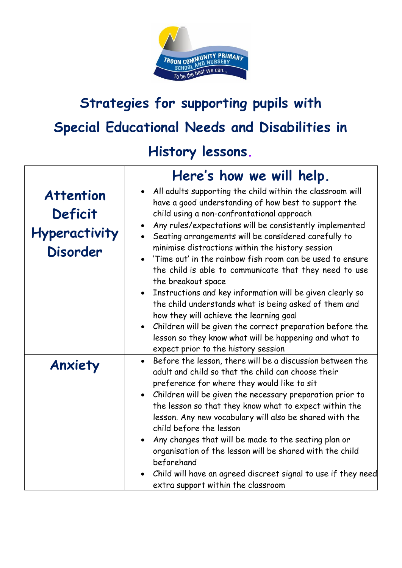

## **Strategies for supporting pupils with Special Educational Needs and Disabilities in**

## **History lessons.**

|                                                                        | Here's how we will help.                                                                                                                                                                                                                                                                                                                                                                                                                                                                                                                                                                                                                                                                                                                                                                                             |
|------------------------------------------------------------------------|----------------------------------------------------------------------------------------------------------------------------------------------------------------------------------------------------------------------------------------------------------------------------------------------------------------------------------------------------------------------------------------------------------------------------------------------------------------------------------------------------------------------------------------------------------------------------------------------------------------------------------------------------------------------------------------------------------------------------------------------------------------------------------------------------------------------|
| <b>Attention</b><br>Deficit<br><b>Hyperactivity</b><br><b>Disorder</b> | • All adults supporting the child within the classroom will<br>have a good understanding of how best to support the<br>child using a non-confrontational approach<br>Any rules/expectations will be consistently implemented<br>Seating arrangements will be considered carefully to<br>minimise distractions within the history session<br>'Time out' in the rainbow fish room can be used to ensure<br>the child is able to communicate that they need to use<br>the breakout space<br>Instructions and key information will be given clearly so<br>the child understands what is being asked of them and<br>how they will achieve the learning goal<br>Children will be given the correct preparation before the<br>lesson so they know what will be happening and what to<br>expect prior to the history session |
| Anxiety                                                                | Before the lesson, there will be a discussion between the<br>adult and child so that the child can choose their<br>preference for where they would like to sit<br>Children will be given the necessary preparation prior to<br>the lesson so that they know what to expect within the<br>lesson. Any new vocabulary will also be shared with the<br>child before the lesson<br>Any changes that will be made to the seating plan or<br>organisation of the lesson will be shared with the child<br>beforehand<br>Child will have an agreed discreet signal to use if they need<br>extra support within the classroom                                                                                                                                                                                                 |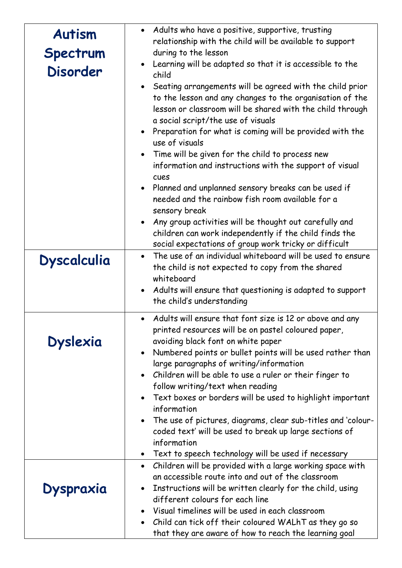| <b>Autism</b>      | Adults who have a positive, supportive, trusting<br>relationship with the child will be available to support                                                                                                                                                                                                                                                                                                                                                                                                                                                                                                                                                                                                                           |
|--------------------|----------------------------------------------------------------------------------------------------------------------------------------------------------------------------------------------------------------------------------------------------------------------------------------------------------------------------------------------------------------------------------------------------------------------------------------------------------------------------------------------------------------------------------------------------------------------------------------------------------------------------------------------------------------------------------------------------------------------------------------|
| Spectrum           | during to the lesson                                                                                                                                                                                                                                                                                                                                                                                                                                                                                                                                                                                                                                                                                                                   |
| <b>Disorder</b>    | Learning will be adapted so that it is accessible to the<br>child                                                                                                                                                                                                                                                                                                                                                                                                                                                                                                                                                                                                                                                                      |
|                    | Seating arrangements will be agreed with the child prior<br>to the lesson and any changes to the organisation of the<br>lesson or classroom will be shared with the child through<br>a social script/the use of visuals<br>Preparation for what is coming will be provided with the<br>use of visuals<br>• Time will be given for the child to process new<br>information and instructions with the support of visual<br>cues<br>Planned and unplanned sensory breaks can be used if<br>needed and the rainbow fish room available for a<br>sensory break<br>Any group activities will be thought out carefully and<br>children can work independently if the child finds the<br>social expectations of group work tricky or difficult |
| <b>Dyscalculia</b> | The use of an individual whiteboard will be used to ensure                                                                                                                                                                                                                                                                                                                                                                                                                                                                                                                                                                                                                                                                             |
|                    | the child is not expected to copy from the shared                                                                                                                                                                                                                                                                                                                                                                                                                                                                                                                                                                                                                                                                                      |
|                    | whiteboard                                                                                                                                                                                                                                                                                                                                                                                                                                                                                                                                                                                                                                                                                                                             |
|                    | Adults will ensure that questioning is adapted to support<br>the child's understanding                                                                                                                                                                                                                                                                                                                                                                                                                                                                                                                                                                                                                                                 |
|                    |                                                                                                                                                                                                                                                                                                                                                                                                                                                                                                                                                                                                                                                                                                                                        |
| <b>Dyslexia</b>    | Adults will ensure that font size is 12 or above and any<br>printed resources will be on pastel coloured paper,<br>avoiding black font on white paper<br>Numbered points or bullet points will be used rather than<br>large paragraphs of writing/information<br>Children will be able to use a ruler or their finger to                                                                                                                                                                                                                                                                                                                                                                                                               |
|                    | follow writing/text when reading<br>Text boxes or borders will be used to highlight important                                                                                                                                                                                                                                                                                                                                                                                                                                                                                                                                                                                                                                          |
|                    | information                                                                                                                                                                                                                                                                                                                                                                                                                                                                                                                                                                                                                                                                                                                            |
|                    | The use of pictures, diagrams, clear sub-titles and 'colour-                                                                                                                                                                                                                                                                                                                                                                                                                                                                                                                                                                                                                                                                           |
|                    | coded text' will be used to break up large sections of                                                                                                                                                                                                                                                                                                                                                                                                                                                                                                                                                                                                                                                                                 |
|                    | information                                                                                                                                                                                                                                                                                                                                                                                                                                                                                                                                                                                                                                                                                                                            |
|                    | Text to speech technology will be used if necessary                                                                                                                                                                                                                                                                                                                                                                                                                                                                                                                                                                                                                                                                                    |
|                    | Children will be provided with a large working space with<br>$\bullet$<br>an accessible route into and out of the classroom                                                                                                                                                                                                                                                                                                                                                                                                                                                                                                                                                                                                            |
| Dyspraxia          | Instructions will be written clearly for the child, using                                                                                                                                                                                                                                                                                                                                                                                                                                                                                                                                                                                                                                                                              |
|                    | different colours for each line                                                                                                                                                                                                                                                                                                                                                                                                                                                                                                                                                                                                                                                                                                        |
|                    | Visual timelines will be used in each classroom                                                                                                                                                                                                                                                                                                                                                                                                                                                                                                                                                                                                                                                                                        |
|                    | Child can tick off their coloured WALhT as they go so                                                                                                                                                                                                                                                                                                                                                                                                                                                                                                                                                                                                                                                                                  |
|                    | that they are aware of how to reach the learning goal                                                                                                                                                                                                                                                                                                                                                                                                                                                                                                                                                                                                                                                                                  |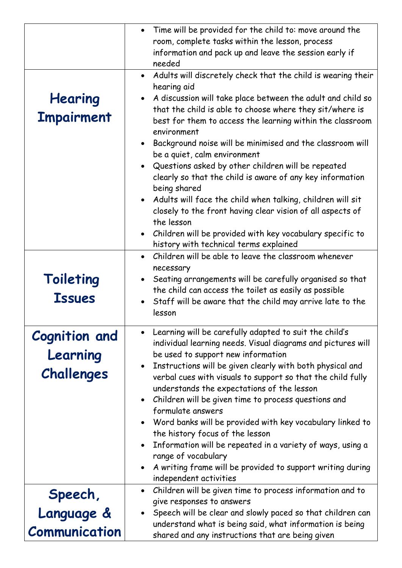|                      | Time will be provided for the child to: move around the                                            |
|----------------------|----------------------------------------------------------------------------------------------------|
|                      | room, complete tasks within the lesson, process                                                    |
|                      | information and pack up and leave the session early if<br>needed                                   |
|                      | • Adults will discretely check that the child is wearing their                                     |
|                      | hearing aid                                                                                        |
| Hearing              | • A discussion will take place between the adult and child so                                      |
|                      | that the child is able to choose where they sit/where is                                           |
| <b>Impairment</b>    | best for them to access the learning within the classroom                                          |
|                      | environment                                                                                        |
|                      | Background noise will be minimised and the classroom will                                          |
|                      | be a quiet, calm environment                                                                       |
|                      | Questions asked by other children will be repeated                                                 |
|                      | clearly so that the child is aware of any key information                                          |
|                      | being shared<br>• Adults will face the child when talking, children will sit                       |
|                      | closely to the front having clear vision of all aspects of                                         |
|                      | the lesson                                                                                         |
|                      | • Children will be provided with key vocabulary specific to                                        |
|                      | history with technical terms explained                                                             |
|                      | Children will be able to leave the classroom whenever                                              |
|                      | necessary                                                                                          |
| Toileting            | Seating arrangements will be carefully organised so that                                           |
| <b>Issues</b>        | the child can access the toilet as easily as possible                                              |
|                      | Staff will be aware that the child may arrive late to the<br>lesson                                |
|                      |                                                                                                    |
| <b>Cognition and</b> | Learning will be carefully adapted to suit the child's                                             |
|                      | individual learning needs. Visual diagrams and pictures will                                       |
| Learning             | be used to support new information                                                                 |
| Challenges           | Instructions will be given clearly with both physical and                                          |
|                      | verbal cues with visuals to support so that the child fully                                        |
|                      | understands the expectations of the lesson<br>Children will be given time to process questions and |
|                      | formulate answers                                                                                  |
|                      | Word banks will be provided with key vocabulary linked to                                          |
|                      | the history focus of the lesson                                                                    |
|                      | Information will be repeated in a variety of ways, using a                                         |
|                      | range of vocabulary                                                                                |
|                      | A writing frame will be provided to support writing during                                         |
|                      | independent activities                                                                             |
| Speech,              | Children will be given time to process information and to                                          |
|                      | give responses to answers<br>Speech will be clear and slowly paced so that children can            |
| Language &           | understand what is being said, what information is being                                           |
| Communication        | shared and any instructions that are being given                                                   |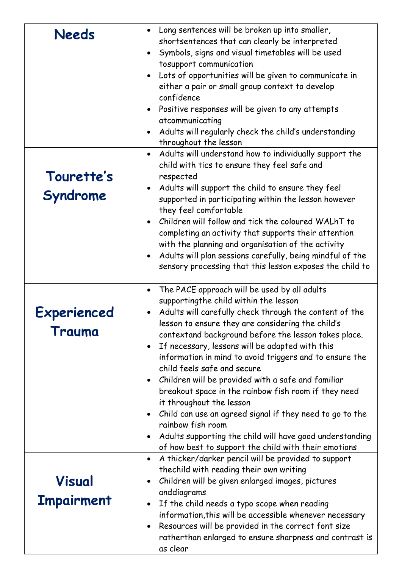| <b>Needs</b>                | Long sentences will be broken up into smaller,<br>$\bullet$<br>shortsentences that can clearly be interpreted<br>Symbols, signs and visual timetables will be used<br>$\bullet$<br>tosupport communication<br>Lots of opportunities will be given to communicate in<br>$\bullet$<br>either a pair or small group context to develop<br>confidence<br>Positive responses will be given to any attempts<br>$\bullet$<br>atcommunicating<br>Adults will regularly check the child's understanding<br>throughout the lesson                                                                                                                                                                                                                                                                                                   |
|-----------------------------|---------------------------------------------------------------------------------------------------------------------------------------------------------------------------------------------------------------------------------------------------------------------------------------------------------------------------------------------------------------------------------------------------------------------------------------------------------------------------------------------------------------------------------------------------------------------------------------------------------------------------------------------------------------------------------------------------------------------------------------------------------------------------------------------------------------------------|
| Tourette's<br>Syndrome      | Adults will understand how to individually support the<br>$\bullet$<br>child with tics to ensure they feel safe and<br>respected<br>Adults will support the child to ensure they feel<br>$\bullet$<br>supported in participating within the lesson however<br>they feel comfortable<br>Children will follow and tick the coloured WALhT to<br>$\bullet$<br>completing an activity that supports their attention<br>with the planning and organisation of the activity<br>Adults will plan sessions carefully, being mindful of the<br>$\bullet$<br>sensory processing that this lesson exposes the child to                                                                                                                                                                                                               |
| Experienced<br>Trauma       | The PACE approach will be used by all adults<br>$\bullet$<br>supportingthe child within the lesson<br>Adults will carefully check through the content of the<br>lesson to ensure they are considering the child's<br>contextand background before the lesson takes place.<br>If necessary, lessons will be adapted with this<br>$\bullet$<br>information in mind to avoid triggers and to ensure the<br>child feels safe and secure<br>Children will be provided with a safe and familiar<br>$\bullet$<br>breakout space in the rainbow fish room if they need<br>it throughout the lesson<br>Child can use an agreed signal if they need to go to the<br>$\bullet$<br>rainbow fish room<br>Adults supporting the child will have good understanding<br>$\bullet$<br>of how best to support the child with their emotions |
| Visual<br><b>Impairment</b> | A thicker/darker pencil will be provided to support<br>$\bullet$<br>thechild with reading their own writing<br>Children will be given enlarged images, pictures<br>$\bullet$<br>anddiagrams<br>If the child needs a typo scope when reading<br>$\bullet$<br>information, this will be accessible whenever necessary<br>Resources will be provided in the correct font size<br>$\bullet$<br>ratherthan enlarged to ensure sharpness and contrast is<br>as clear                                                                                                                                                                                                                                                                                                                                                            |